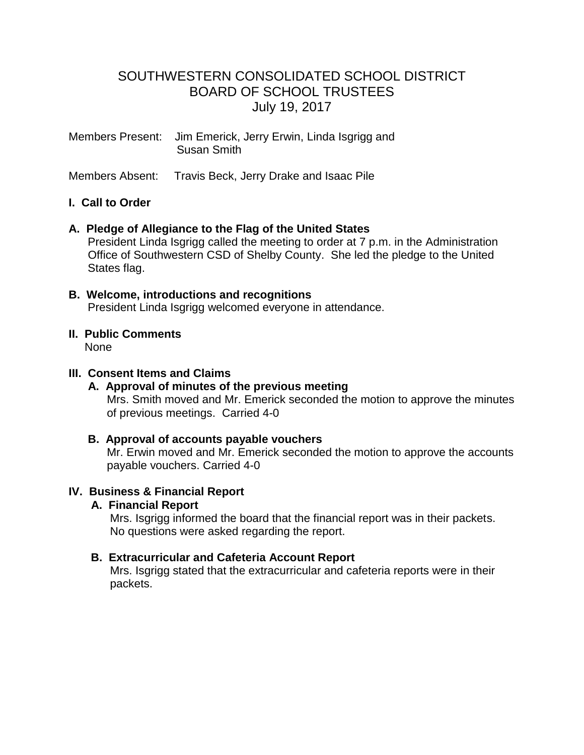# SOUTHWESTERN CONSOLIDATED SCHOOL DISTRICT BOARD OF SCHOOL TRUSTEES July 19, 2017

Members Present: Jim Emerick, Jerry Erwin, Linda Isgrigg and Susan Smith

Members Absent: Travis Beck, Jerry Drake and Isaac Pile

## **I. Call to Order**

## **A. Pledge of Allegiance to the Flag of the United States**

 President Linda Isgrigg called the meeting to order at 7 p.m. in the Administration Office of Southwestern CSD of Shelby County. She led the pledge to the United States flag.

- **B. Welcome, introductions and recognitions** President Linda Isgrigg welcomed everyone in attendance.
- **II. Public Comments** None

#### **III. Consent Items and Claims**

#### **A. Approval of minutes of the previous meeting** Mrs. Smith moved and Mr. Emerick seconded the motion to approve the minutes of previous meetings. Carried 4-0

# **B. Approval of accounts payable vouchers**

 Mr. Erwin moved and Mr. Emerick seconded the motion to approve the accounts payable vouchers. Carried 4-0

## **IV. Business & Financial Report**

#### **A. Financial Report**

 Mrs. Isgrigg informed the board that the financial report was in their packets. No questions were asked regarding the report.

## **B. Extracurricular and Cafeteria Account Report**

Mrs. Isgrigg stated that the extracurricular and cafeteria reports were in their packets.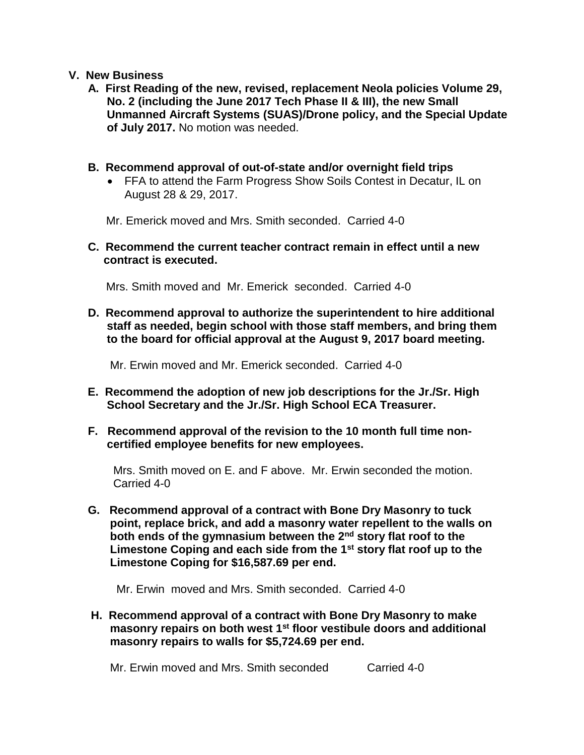## **V. New Business**

- **A. First Reading of the new, revised, replacement Neola policies Volume 29, No. 2 (including the June 2017 Tech Phase II & III), the new Small Unmanned Aircraft Systems (SUAS)/Drone policy, and the Special Update of July 2017.** No motion was needed.
- **B. Recommend approval of out-of-state and/or overnight field trips**
	- FFA to attend the Farm Progress Show Soils Contest in Decatur, IL on August 28 & 29, 2017.

Mr. Emerick moved and Mrs. Smith seconded. Carried 4-0

 **C. Recommend the current teacher contract remain in effect until a new contract is executed.**

Mrs. Smith moved and Mr. Emerick seconded. Carried 4-0

 **D. Recommend approval to authorize the superintendent to hire additional staff as needed, begin school with those staff members, and bring them to the board for official approval at the August 9, 2017 board meeting.**

Mr. Erwin moved and Mr. Emerick seconded. Carried 4-0

- **E. Recommend the adoption of new job descriptions for the Jr./Sr. High School Secretary and the Jr./Sr. High School ECA Treasurer.**
- **F. Recommend approval of the revision to the 10 month full time non certified employee benefits for new employees.**

 Mrs. Smith moved on E. and F above. Mr. Erwin seconded the motion. Carried 4-0

 **G. Recommend approval of a contract with Bone Dry Masonry to tuck point, replace brick, and add a masonry water repellent to the walls on both ends of the gymnasium between the 2nd story flat roof to the Limestone Coping and each side from the 1st story flat roof up to the Limestone Coping for \$16,587.69 per end.**

Mr. Erwinmoved and Mrs. Smith seconded. Carried 4-0

 **H. Recommend approval of a contract with Bone Dry Masonry to make masonry repairs on both west 1st floor vestibule doors and additional masonry repairs to walls for \$5,724.69 per end.**

Mr. Erwin moved and Mrs. Smith seconded Carried 4-0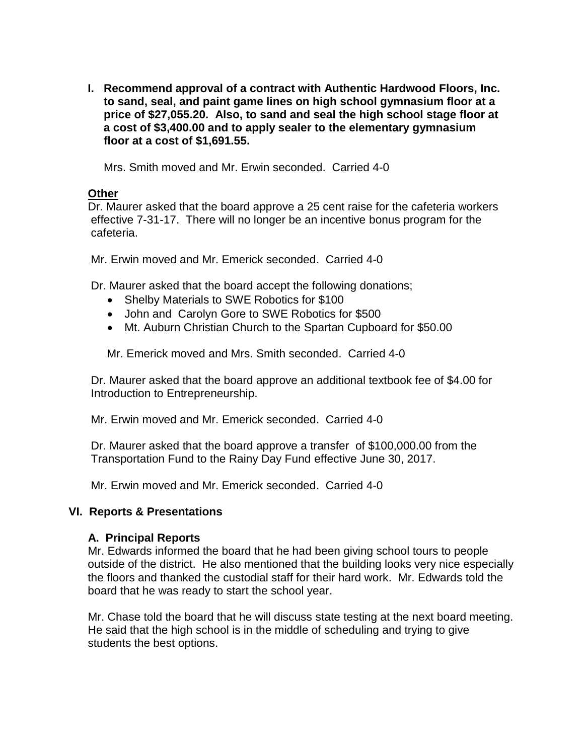**I. Recommend approval of a contract with Authentic Hardwood Floors, Inc. to sand, seal, and paint game lines on high school gymnasium floor at a price of \$27,055.20. Also, to sand and seal the high school stage floor at a cost of \$3,400.00 and to apply sealer to the elementary gymnasium floor at a cost of \$1,691.55.**

Mrs. Smith moved and Mr. Erwin seconded. Carried 4-0

## **Other**

 Dr. Maurer asked that the board approve a 25 cent raise for the cafeteria workers effective 7-31-17. There will no longer be an incentive bonus program for the cafeteria.

Mr. Erwin moved and Mr. Emerick seconded. Carried 4-0

Dr. Maurer asked that the board accept the following donations;

- Shelby Materials to SWE Robotics for \$100
- John and Carolyn Gore to SWE Robotics for \$500
- Mt. Auburn Christian Church to the Spartan Cupboard for \$50.00

Mr. Emerick moved and Mrs. Smith seconded. Carried 4-0

 Dr. Maurer asked that the board approve an additional textbook fee of \$4.00 for Introduction to Entrepreneurship.

Mr. Erwin moved and Mr. Emerick seconded. Carried 4-0

 Dr. Maurer asked that the board approve a transfer of \$100,000.00 from the Transportation Fund to the Rainy Day Fund effective June 30, 2017.

Mr. Erwin moved and Mr. Emerick seconded. Carried 4-0

## **VI. Reports & Presentations**

#### **A. Principal Reports**

 Mr. Edwards informed the board that he had been giving school tours to people outside of the district. He also mentioned that the building looks very nice especially the floors and thanked the custodial staff for their hard work. Mr. Edwards told the board that he was ready to start the school year.

 Mr. Chase told the board that he will discuss state testing at the next board meeting. He said that the high school is in the middle of scheduling and trying to give students the best options.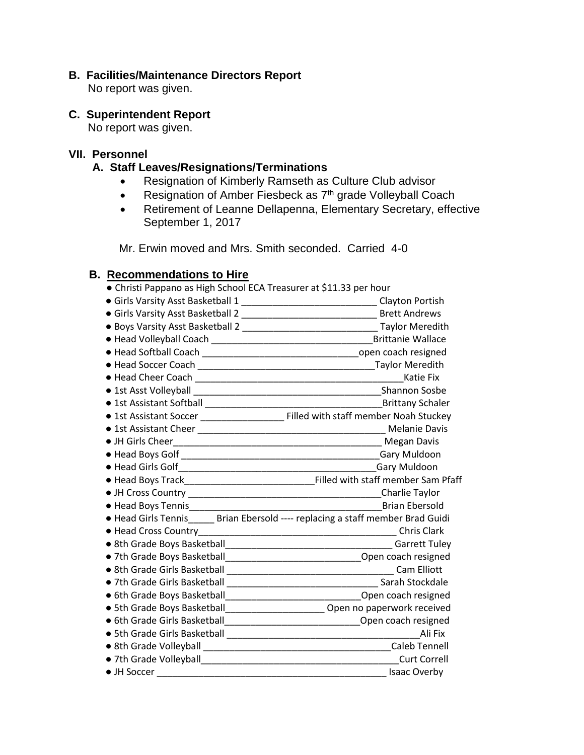## **B. Facilities/Maintenance Directors Report**

No report was given.

## **C. Superintendent Report**

No report was given.

## **VII. Personnel**

## **A. Staff Leaves/Resignations/Terminations**

- Resignation of Kimberly Ramseth as Culture Club advisor
- Resignation of Amber Fiesbeck as 7<sup>th</sup> grade Volleyball Coach
- Retirement of Leanne Dellapenna, Elementary Secretary, effective September 1, 2017

Mr. Erwin moved and Mrs. Smith seconded. Carried 4-0

## **B. Recommendations to Hire**

| • Christi Pappano as High School ECA Treasurer at \$11.33 per hour                |                                                                                      |
|-----------------------------------------------------------------------------------|--------------------------------------------------------------------------------------|
| • Girls Varsity Asst Basketball 1 ________________________________Clayton Portish |                                                                                      |
|                                                                                   |                                                                                      |
|                                                                                   |                                                                                      |
|                                                                                   |                                                                                      |
|                                                                                   |                                                                                      |
|                                                                                   |                                                                                      |
|                                                                                   | Katie Fix                                                                            |
|                                                                                   | <b>Shannon Sosbe</b>                                                                 |
|                                                                                   | <b>Brittany Schaler</b>                                                              |
|                                                                                   | • 1st Assistant Soccer _______________________ Filled with staff member Noah Stuckey |
|                                                                                   |                                                                                      |
|                                                                                   |                                                                                      |
|                                                                                   |                                                                                      |
|                                                                                   | Gary Muldoon                                                                         |
|                                                                                   |                                                                                      |
|                                                                                   | Charlie Taylor                                                                       |
|                                                                                   | <b>Brian Ebersold</b>                                                                |
| · Head Girls Tennis______ Brian Ebersold ---- replacing a staff member Brad Guidi |                                                                                      |
|                                                                                   |                                                                                      |
|                                                                                   |                                                                                      |
| • 7th Grade Boys Basketball__________________________________Open coach resigned  |                                                                                      |
|                                                                                   |                                                                                      |
|                                                                                   |                                                                                      |
| • 6th Grade Boys Basketball__________________________________Open coach resigned  |                                                                                      |
| • 5th Grade Boys Basketball________________________ Open no paperwork received    |                                                                                      |
| • 6th Grade Girls Basketball__________________________________Open coach resigned |                                                                                      |
|                                                                                   | Ali Fix                                                                              |
|                                                                                   | <b>Caleb Tennell</b>                                                                 |
| • 7th Grade Volleyball <b>Container and Container and Container</b> and Container | <b>Curt Correll</b>                                                                  |
|                                                                                   | <b>Isaac Overby</b>                                                                  |